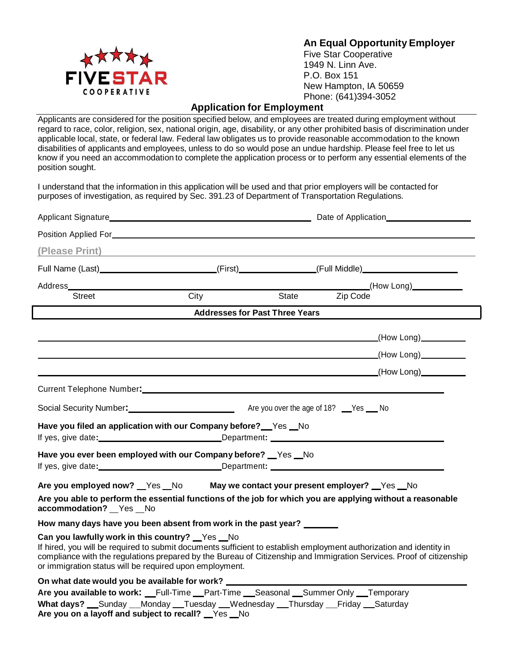

**An Equal Opportunity Employer**

Five Star Cooperative 1949 N. Linn Ave. P.O. Box 151 New Hampton, IA 50659 Phone: (641)394-3052

## **Application for Employment**

Applicants are considered for the position specified below, and employees are treated during employment without regard to race, color, religion, sex, national origin, age, disability, or any other prohibited basis of discrimination under applicable local, state, or federal law. Federal law obligates us to provide reasonable accommodation to the known disabilities of applicants and employees, unless to do so would pose an undue hardship. Please feel free to let us know if you need an accommodation to complete the application process or to perform any essential elements of the position sought.

I understand that the information in this application will be used and that prior employers will be contacted for purposes of investigation, as required by Sec. 391.23 of Department of Transportation Regulations.

| (Please Print) 2008 - 2009 - 2010 - 2010 - 2010 - 2011 - 2012 - 2012 - 2014 - 2014 - 2012 - 2014 - 2014 - 201                                                                                                                                                                                                                                           |                                                                                                                                                  |  |  |                                  |
|---------------------------------------------------------------------------------------------------------------------------------------------------------------------------------------------------------------------------------------------------------------------------------------------------------------------------------------------------------|--------------------------------------------------------------------------------------------------------------------------------------------------|--|--|----------------------------------|
| Full Name (Last)____________________________(First)_______________(Full Middle)____________________                                                                                                                                                                                                                                                     |                                                                                                                                                  |  |  |                                  |
|                                                                                                                                                                                                                                                                                                                                                         |                                                                                                                                                  |  |  |                                  |
| Street                                                                                                                                                                                                                                                                                                                                                  | City                                                                                                                                             |  |  | State Zip Code<br>State Zip Code |
|                                                                                                                                                                                                                                                                                                                                                         | Addresses for Past Three Years <b>Conservative Conservation</b>                                                                                  |  |  |                                  |
|                                                                                                                                                                                                                                                                                                                                                         |                                                                                                                                                  |  |  |                                  |
|                                                                                                                                                                                                                                                                                                                                                         | <u>(How Long) (How Long)</u> (How Long) (How Long) (How Long) (How Long) (How Long) (How Long) (How Long) (How Long) (How Long) (How Long $\sim$ |  |  |                                  |
|                                                                                                                                                                                                                                                                                                                                                         |                                                                                                                                                  |  |  | <u>(How Long)</u>                |
|                                                                                                                                                                                                                                                                                                                                                         |                                                                                                                                                  |  |  |                                  |
|                                                                                                                                                                                                                                                                                                                                                         |                                                                                                                                                  |  |  |                                  |
| Social Security Number: Manual Are you over the age of 18? No No                                                                                                                                                                                                                                                                                        |                                                                                                                                                  |  |  |                                  |
| Have you filed an application with our Company before? Ves No                                                                                                                                                                                                                                                                                           |                                                                                                                                                  |  |  |                                  |
| If yes, give date: Department: Department:                                                                                                                                                                                                                                                                                                              |                                                                                                                                                  |  |  |                                  |
| Have you ever been employed with our Company before? _Yes _No<br>If yes, give date:__________________________________Department: ___________________________________                                                                                                                                                                                    |                                                                                                                                                  |  |  |                                  |
| Are you employed now? __Yes __No _________ May we contact your present employer? __Yes __No                                                                                                                                                                                                                                                             |                                                                                                                                                  |  |  |                                  |
| Are you able to perform the essential functions of the job for which you are applying without a reasonable<br>accommodation? Yes No                                                                                                                                                                                                                     |                                                                                                                                                  |  |  |                                  |
| How many days have you been absent from work in the past year? ______                                                                                                                                                                                                                                                                                   |                                                                                                                                                  |  |  |                                  |
| Can you lawfully work in this country? Ves No<br>If hired, you will be required to submit documents sufficient to establish employment authorization and identity in<br>compliance with the regulations prepared by the Bureau of Citizenship and Immigration Services. Proof of citizenship<br>or immigration status will be required upon employment. |                                                                                                                                                  |  |  |                                  |
| On what date would you be available for work? __________________________________                                                                                                                                                                                                                                                                        |                                                                                                                                                  |  |  |                                  |
| Are you available to work: Full-Time Part-Time Seasonal Summer Only Temporary                                                                                                                                                                                                                                                                           |                                                                                                                                                  |  |  |                                  |
| What days? Sunday __Monday __Tuesday __Wednesday __Thursday __Friday __Saturday<br>Are you on a layoff and subject to recall?  Ness No                                                                                                                                                                                                                  |                                                                                                                                                  |  |  |                                  |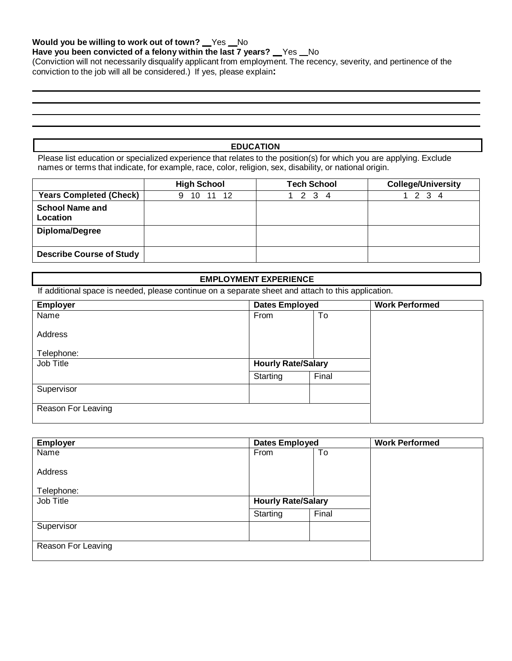#### **Would** you be willing to work out of town? Yes No

## **Have** you been convicted of a felony within the last 7 years?  $Y$ es  $N$ o

(Conviction will not necessarily disqualify applicant from employment. The recency, severity, and pertinence of the conviction to the job will all be considered.) If yes, please explain**:** 

**EDUCATION**

Please list education or specialized experience that relates to the position(s) for which you are applying. Exclude names or terms that indicate, for example, race, color, religion, sex, disability, or national origin.

|                                    | <b>High School</b> | <b>Tech School</b> | <b>College/University</b> |
|------------------------------------|--------------------|--------------------|---------------------------|
| <b>Years Completed (Check)</b>     | 11 12<br>10<br>9   | 2 3<br>4           | 3                         |
| <b>School Name and</b><br>Location |                    |                    |                           |
| Diploma/Degree                     |                    |                    |                           |
| <b>Describe Course of Study</b>    |                    |                    |                           |

#### **EMPLOYMENT EXPERIENCE**

If additional space is needed, please continue on a separate sheet and attach to this application.

| <b>Employer</b>    | <b>Dates Employed</b>     |       | <b>Work Performed</b> |
|--------------------|---------------------------|-------|-----------------------|
| Name               | From                      | To    |                       |
| Address            |                           |       |                       |
| Telephone:         |                           |       |                       |
| Job Title          | <b>Hourly Rate/Salary</b> |       |                       |
|                    | Starting                  | Final |                       |
| Supervisor         |                           |       |                       |
| Reason For Leaving |                           |       |                       |

| <b>Employer</b>    | <b>Dates Employed</b>     |       | <b>Work Performed</b> |
|--------------------|---------------------------|-------|-----------------------|
| Name               | From                      | To    |                       |
| Address            |                           |       |                       |
| Telephone:         |                           |       |                       |
| Job Title          | <b>Hourly Rate/Salary</b> |       |                       |
|                    | Starting                  | Final |                       |
| Supervisor         |                           |       |                       |
|                    |                           |       |                       |
| Reason For Leaving |                           |       |                       |
|                    |                           |       |                       |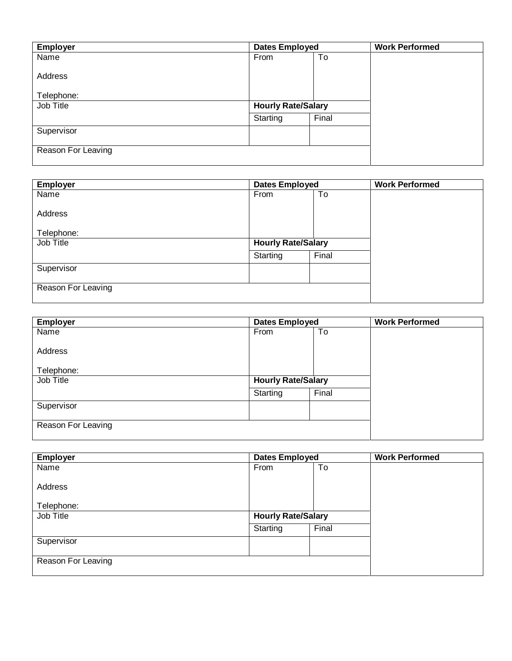| Employer           | <b>Dates Employed</b>     |       | <b>Work Performed</b> |
|--------------------|---------------------------|-------|-----------------------|
| Name               | From                      | To    |                       |
|                    |                           |       |                       |
| Address            |                           |       |                       |
| Telephone:         |                           |       |                       |
| Job Title          | <b>Hourly Rate/Salary</b> |       |                       |
|                    | Starting                  | Final |                       |
| Supervisor         |                           |       |                       |
|                    |                           |       |                       |
| Reason For Leaving |                           |       |                       |
|                    |                           |       |                       |

| <b>Employer</b>    | <b>Dates Employed</b>     |       | <b>Work Performed</b> |
|--------------------|---------------------------|-------|-----------------------|
| Name               | From                      | To    |                       |
| Address            |                           |       |                       |
| Telephone:         |                           |       |                       |
| Job Title          | <b>Hourly Rate/Salary</b> |       |                       |
|                    | Starting                  | Final |                       |
| Supervisor         |                           |       |                       |
|                    |                           |       |                       |
| Reason For Leaving |                           |       |                       |
|                    |                           |       |                       |

| <b>Employer</b>    | <b>Dates Employed</b>     |       | <b>Work Performed</b> |
|--------------------|---------------------------|-------|-----------------------|
| Name               | From                      | To    |                       |
| Address            |                           |       |                       |
| Telephone:         |                           |       |                       |
| Job Title          | <b>Hourly Rate/Salary</b> |       |                       |
|                    | Starting                  | Final |                       |
| Supervisor         |                           |       |                       |
|                    |                           |       |                       |
| Reason For Leaving |                           |       |                       |
|                    |                           |       |                       |

| <b>Employer</b>    | Dates Employed            |       | <b>Work Performed</b> |
|--------------------|---------------------------|-------|-----------------------|
| Name               | From                      | To    |                       |
|                    |                           |       |                       |
| Address            |                           |       |                       |
|                    |                           |       |                       |
| Telephone:         |                           |       |                       |
| Job Title          | <b>Hourly Rate/Salary</b> |       |                       |
|                    | Starting                  | Final |                       |
| Supervisor         |                           |       |                       |
|                    |                           |       |                       |
| Reason For Leaving |                           |       |                       |
|                    |                           |       |                       |